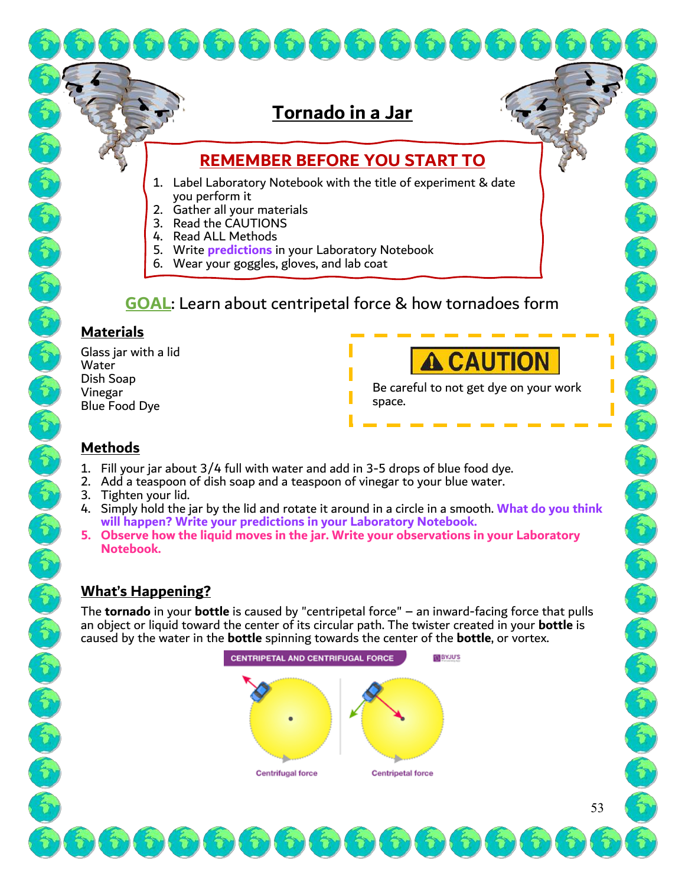# **Tornado in a Jar**

 $\mathcal{L}$ 

 $\hat{\tau}$ 

## **REMEMBER BEFORE YOU START TO**

- 1. Label Laboratory Notebook with the title of experiment & date you perform it
- 2. Gather all your materials
- 3. Read the CAUTIONS
- 4. Read ALL Methods
- 5. Write **predictions** in your Laboratory Notebook

 $\hat{\tau}$ 

6. Wear your goggles, gloves, and lab coat

# **GOAL**: Learn about centripetal force & how tornadoes form

#### **Materials**

Glass jar with a lid Water Dish Soap Vinegar Blue Food Dye



E.

Be careful to not get dye on your work space.

### **Methods**

- 1. Fill your jar about 3/4 full with water and add in 3-5 drops of blue food dye.
- 2. Add a teaspoon of dish soap and a teaspoon of vinegar to your blue water.
- 3. Tighten your lid.
- 4. Simply hold the jar by the lid and rotate it around in a circle in a smooth. **What do you think will happen? Write your predictions in your Laboratory Notebook.**
- **5. Observe how the liquid moves in the jar. Write your observations in your Laboratory Notebook.**

### **What's Happening?**

The **tornado** in your **bottle** is caused by "centripetal force" – an inward-facing force that pulls an object or liquid toward the center of its circular path. The twister created in your **bottle** is caused by the water in the **bottle** spinning towards the center of the **bottle**, or vortex.